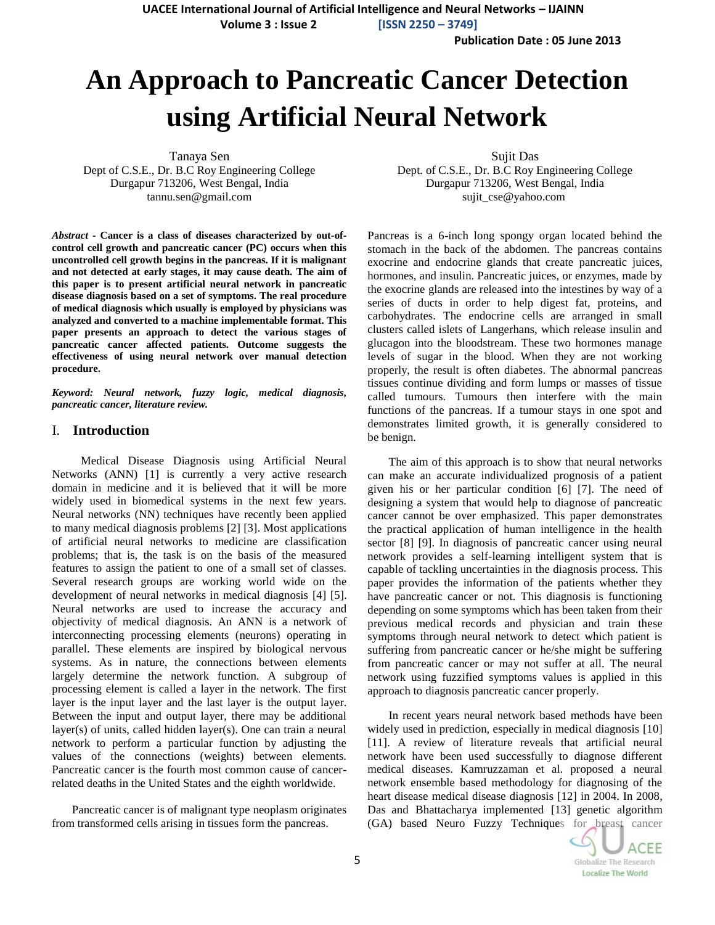**UACEE International Journal of Artificial Intelligence and Neural Networks – IJAINN Volume 3 : Issue 2 [ISSN 2250 – 3749]**

**Publication Date : 05 June 2013**

# **An Approach to Pancreatic Cancer Detection using Artificial Neural Network**

Tanaya Sen Dept of C.S.E., Dr. B.C Roy Engineering College Durgapur 713206, West Bengal, India tannu.sen@gmail.com

*Abstract* **- Cancer is a class of diseases characterized by out-ofcontrol cell growth and pancreatic cancer (PC) occurs when this uncontrolled cell growth begins in the pancreas. If it is malignant and not detected at early stages, it may cause death. The aim of this paper is to present artificial neural network in pancreatic disease diagnosis based on a set of symptoms. The real procedure of medical diagnosis which usually is employed by physicians was analyzed and converted to a machine implementable format. This paper presents an approach to detect the various stages of pancreatic cancer affected patients. Outcome suggests the effectiveness of using neural network over manual detection procedure.**

*Keyword: Neural network, fuzzy logic, medical diagnosis, pancreatic cancer, literature review.*

## I. **Introduction**

 Medical Disease Diagnosis using Artificial Neural Networks (ANN) [1] is currently a very active research domain in medicine and it is believed that it will be more widely used in biomedical systems in the next few years. Neural networks (NN) techniques have recently been applied to many medical diagnosis problems [2] [3]. Most applications of artificial neural networks to medicine are classification problems; that is, the task is on the basis of the measured features to assign the patient to one of a small set of classes. Several research groups are working world wide on the development of neural networks in medical diagnosis [4] [5]. Neural networks are used to increase the accuracy and objectivity of medical diagnosis. An ANN is a network of interconnecting processing elements (neurons) operating in parallel. These elements are inspired by biological nervous systems. As in nature, the connections between elements largely determine the network function. A subgroup of processing element is called a layer in the network. The first layer is the input layer and the last layer is the output layer. Between the input and output layer, there may be additional layer(s) of units, called hidden layer(s). One can train a neural network to perform a particular function by adjusting the values of the connections (weights) between elements. Pancreatic cancer is the fourth most common cause of cancerrelated deaths in the United States and the eighth worldwide.

 Pancreatic cancer is of [malignant](http://en.wikipedia.org/wiki/Malignant) type [neoplasm](http://en.wikipedia.org/wiki/Neoplasm) originates from transformed cells arising in tissues form the [pancreas.](http://en.wikipedia.org/wiki/Pancreas)

Sujit Das Dept. of C.S.E., Dr. B.C Roy Engineering College Durgapur 713206, West Bengal, India sujit\_cse@yahoo.com

Pancreas is a 6-inch long spongy organ located behind the stomach in the back of the abdomen. The pancreas contains exocrine and endocrine glands that create pancreatic juices, hormones, and insulin. Pancreatic juices, or enzymes, made by the exocrine glands are released into the intestines by way of a series of ducts in order to help digest fat, proteins, and carbohydrates. The endocrine cells are arranged in small clusters called islets of Langerhans, which release insulin and glucagon into the bloodstream. These two hormones manage levels of sugar in the blood. When they are not working properly, the result is often diabetes. The abnormal pancreas tissues continue dividing and form lumps or masses of tissue called tumours. Tumours then interfere with the main functions of the pancreas. If a tumour stays in one spot and demonstrates limited growth, it is generally considered to be benign.

The aim of this approach is to show that neural networks can make an accurate individualized prognosis of a patient given his or her particular condition [6] [7]. The need of designing a system that would help to diagnose of pancreatic cancer cannot be over emphasized. This paper demonstrates the practical application of human intelligence in the health sector [8] [9]. In diagnosis of pancreatic cancer using neural network provides a self-learning intelligent system that is capable of tackling uncertainties in the diagnosis process. This paper provides the information of the patients whether they have pancreatic cancer or not. This diagnosis is functioning depending on some symptoms which has been taken from their previous medical records and physician and train these symptoms through neural network to detect which patient is suffering from pancreatic cancer or he/she might be suffering from pancreatic cancer or may not suffer at all. The neural network using fuzzified symptoms values is applied in this approach to diagnosis pancreatic cancer properly.

In recent years neural network based methods have been widely used in prediction, especially in medical diagnosis [10] [11]. A review of literature reveals that artificial neural network have been used successfully to diagnose different medical diseases. Kamruzzaman et al. proposed a neural network ensemble based methodology for diagnosing of the heart disease medical disease diagnosis [12] in 2004. In 2008, Das and Bhattacharya implemented [13] genetic algorithm (GA) based Neuro Fuzzy Techniques for breast cancer

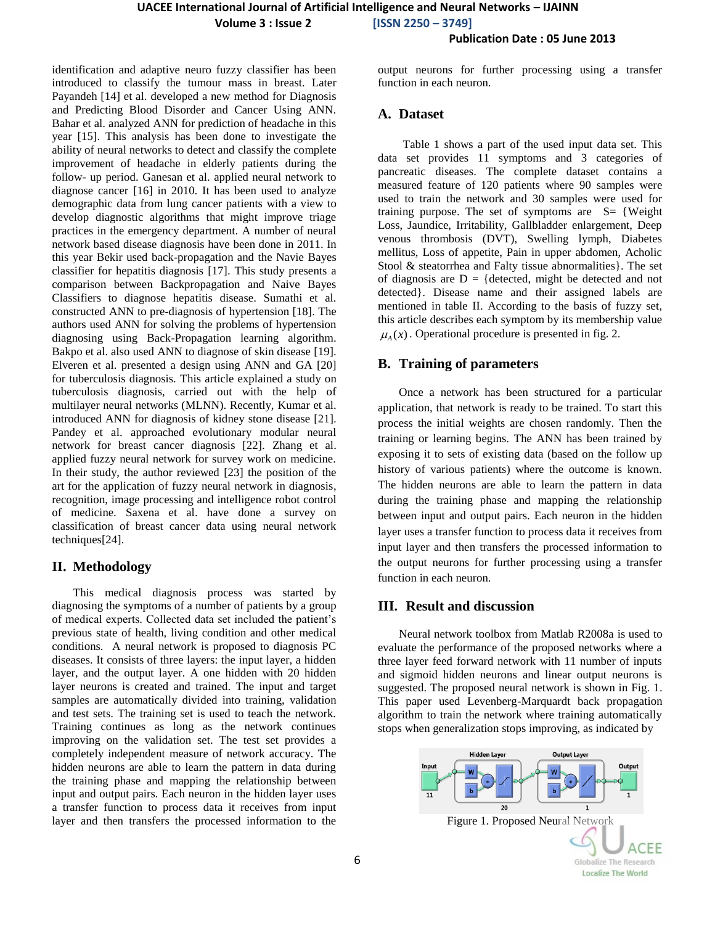**Volume 3 : Issue 2 [ISSN 2250 – 3749]**

# **Publication Date : 05 June 2013**

identification and adaptive neuro fuzzy classifier has been introduced to classify the tumour mass in breast. Later Payandeh [14] et al. developed a new method for Diagnosis and Predicting Blood Disorder and Cancer Using ANN. Bahar et al. analyzed ANN for prediction of headache in this year [15]. This analysis has been done to investigate the ability of neural networks to detect and classify the complete improvement of headache in elderly patients during the follow- up period. Ganesan et al. applied neural network to diagnose cancer [16] in 2010. It has been used to analyze demographic data from lung cancer patients with a view to develop diagnostic algorithms that might improve triage practices in the emergency department. A number of neural network based disease diagnosis have been done in 2011. In this year Bekir used back-propagation and the Navie Bayes classifier for hepatitis diagnosis [17]. This study presents a comparison between Backpropagation and Naive Bayes Classifiers to diagnose hepatitis disease. Sumathi et al. constructed ANN to pre-diagnosis of hypertension [18]. The authors used ANN for solving the problems of hypertension diagnosing using Back-Propagation learning algorithm. Bakpo et al. also used ANN to diagnose of skin disease [19]. Elveren et al. presented a design using ANN and GA [20] for tuberculosis diagnosis. This article explained a study on tuberculosis diagnosis, carried out with the help of multilayer neural networks (MLNN). Recently, Kumar et al. introduced ANN for diagnosis of kidney stone disease [21]. Pandey et al. approached evolutionary modular neural network for breast cancer diagnosis [22]. Zhang et al. applied fuzzy neural network for survey work on medicine. In their study, the author reviewed [23] the position of the art for the application of fuzzy neural network in diagnosis, recognition, image processing and intelligence robot control of medicine. Saxena et al. have done a survey on classification of breast cancer data using neural network techniques[24].

## **II. Methodology**

This medical diagnosis process was started by diagnosing the symptoms of a number of patients by a group of medical experts. Collected data set included the patient's previous state of health, living condition and other medical conditions. A neural network is proposed to diagnosis PC diseases. It consists of three layers: the input layer, a hidden layer, and the output layer. A one hidden with 20 hidden layer neurons is created and trained. The input and target samples are automatically divided into training, validation and test sets. The training set is used to teach the network. Training continues as long as the network continues improving on the validation set. The test set provides a completely independent measure of network accuracy. The hidden neurons are able to learn the pattern in data during the training phase and mapping the relationship between input and output pairs. Each neuron in the hidden layer uses a transfer function to process data it receives from input layer and then transfers the processed information to the

output neurons for further processing using a transfer function in each neuron.

## **A. Dataset**

Table 1 shows a part of the used input data set. This data set provides 11 symptoms and 3 categories of pancreatic diseases. The complete dataset contains a measured feature of 120 patients where 90 samples were used to train the network and 30 samples were used for training purpose. The set of symptoms are  $S = \{Weight$ Loss, Jaundice, Irritability, Gallbladder enlargement, Deep venous thrombosis (DVT), Swelling lymph, Diabetes mellitus, Loss of appetite, Pain in upper abdomen, Acholic Stool & steatorrhea and Falty tissue abnormalities}. The set of diagnosis are  $D = \{ \text{detected}, \text{ might be detected and not} \}$ detected}. Disease name and their assigned labels are mentioned in table II. According to the basis of fuzzy set, this article describes each symptom by its membership value  $\mu_A(x)$ . Operational procedure is presented in fig. 2.

## **B. Training of parameters**

Once a network has been structured for a particular application, that network is ready to be trained. To start this process the initial weights are chosen randomly. Then the training or learning begins. The ANN has been trained by exposing it to sets of existing data (based on the follow up history of various patients) where the outcome is known. The hidden neurons are able to learn the pattern in data during the training phase and mapping the relationship between input and output pairs. Each neuron in the hidden layer uses a transfer function to process data it receives from input layer and then transfers the processed information to the output neurons for further processing using a transfer function in each neuron.

## **III. Result and discussion**

Neural network toolbox from Matlab R2008a is used to evaluate the performance of the proposed networks where a three layer feed forward network with 11 number of inputs and sigmoid hidden neurons and linear output neurons is suggested. The proposed neural network is shown in Fig. 1. This paper used Levenberg-Marquardt back propagation algorithm to train the network where training automatically stops when generalization stops improving, as indicated by

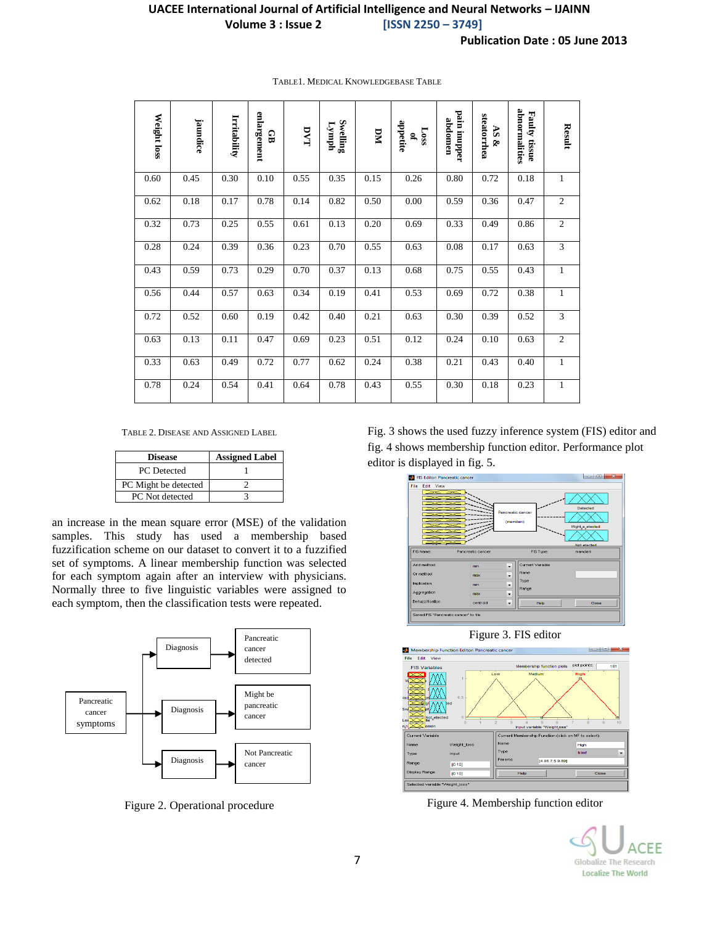# **UACEE International Journal of Artificial Intelligence and Neural Networks – IJAINN Volume 3 : Issue 2 [ISSN 2250 – 3749]**

| Weight loss | jaundice | Irritability | enlargement<br>GB | DVT  | Swelling<br>$I_{\text{ymp}}$ | DМ   | appetite<br>Loss<br>S, | pain inupper<br>abdomen | steatorrhea<br>$\Delta\mathbf{S}$<br>⊗ | abnormalities<br>Faulty<br>tissue | Result         |
|-------------|----------|--------------|-------------------|------|------------------------------|------|------------------------|-------------------------|----------------------------------------|-----------------------------------|----------------|
| 0.60        | 0.45     | 0.30         | 0.10              | 0.55 | 0.35                         | 0.15 | 0.26                   | 0.80                    | 0.72                                   | 0.18                              | 1              |
| 0.62        | 0.18     | 0.17         | 0.78              | 0.14 | 0.82                         | 0.50 | 0.00                   | 0.59                    | 0.36                                   | 0.47                              | $\mathfrak{2}$ |
| 0.32        | 0.73     | 0.25         | 0.55              | 0.61 | 0.13                         | 0.20 | 0.69                   | 0.33                    | 0.49                                   | 0.86                              | $\overline{2}$ |
| 0.28        | 0.24     | 0.39         | 0.36              | 0.23 | 0.70                         | 0.55 | 0.63                   | 0.08                    | 0.17                                   | 0.63                              | $\overline{3}$ |
| 0.43        | 0.59     | 0.73         | 0.29              | 0.70 | 0.37                         | 0.13 | 0.68                   | 0.75                    | 0.55                                   | 0.43                              | $\mathbf{1}$   |
| 0.56        | 0.44     | 0.57         | 0.63              | 0.34 | 0.19                         | 0.41 | 0.53                   | 0.69                    | 0.72                                   | 0.38                              | $\mathbf{1}$   |
| 0.72        | 0.52     | 0.60         | 0.19              | 0.42 | 0.40                         | 0.21 | 0.63                   | 0.30                    | 0.39                                   | 0.52                              | 3              |
| 0.63        | 0.13     | 0.11         | 0.47              | 0.69 | 0.23                         | 0.51 | 0.12                   | 0.24                    | 0.10                                   | 0.63                              | $\overline{c}$ |
| 0.33        | 0.63     | 0.49         | 0.72              | 0.77 | 0.62                         | 0.24 | 0.38                   | 0.21                    | 0.43                                   | 0.40                              | $\mathbf{1}$   |
| 0.78        | 0.24     | 0.54         | 0.41              | 0.64 | 0.78                         | 0.43 | 0.55                   | 0.30                    | 0.18                                   | 0.23                              | $\mathbf{1}$   |

#### TABLE1. MEDICAL KNOWLEDGEBASE TABLE

TABLE 2. DISEASE AND ASSIGNED LABEL

| <b>Disease</b>       | <b>Assigned Label</b> |  |  |  |
|----------------------|-----------------------|--|--|--|
| PC Detected          |                       |  |  |  |
| PC Might be detected |                       |  |  |  |
| PC Not detected      |                       |  |  |  |

an increase in the mean square error (MSE) of the validation samples. This study has used a membership based fuzzification scheme on our dataset to convert it to a fuzzified set of symptoms. A linear membership function was selected for each symptom again after an interview with physicians. Normally three to five linguistic variables were assigned to each symptom, then the classification tests were repeated.



Figure 2. Operational procedure

Fig. 3 shows the used fuzzy inference system (FIS) editor and fig. 4 shows membership function editor. Performance plot editor is displayed in fig. 5.





Figure 4. Membership function editor

EF Globalize The Research **Localize The World**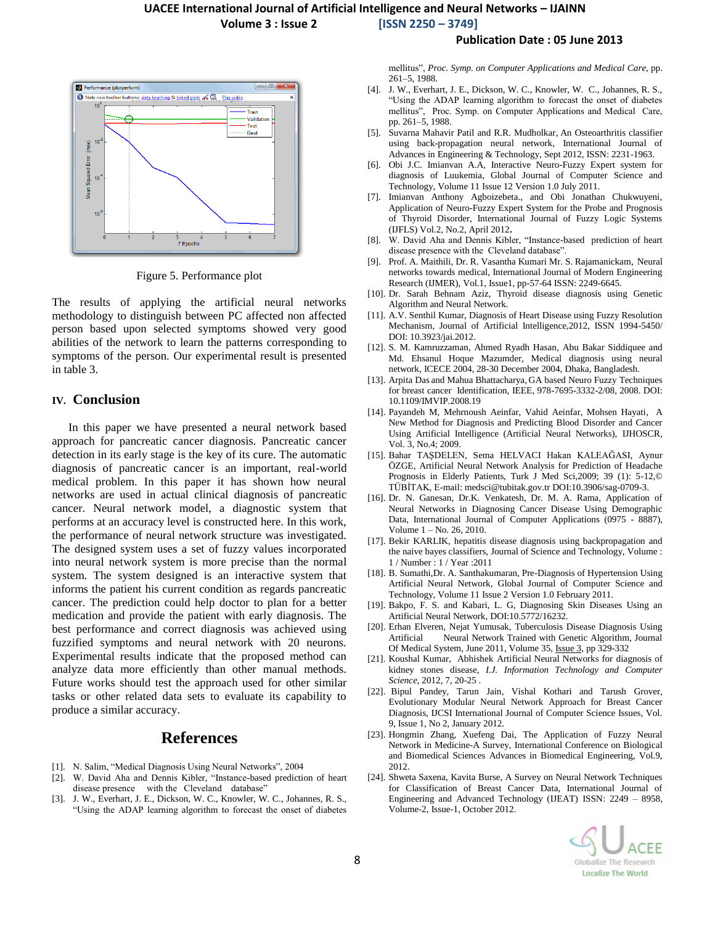## **UACEE International Journal of Artificial Intelligence and Neural Networks – IJAINN**

**Volume 3 : Issue 2 [ISSN 2250 – 3749]**

## **Publication Date : 05 June 2013**



Figure 5. Performance plot

The results of applying the artificial neural networks methodology to distinguish between PC affected non affected person based upon selected symptoms showed very good abilities of the network to learn the patterns corresponding to symptoms of the person. Our experimental result is presented in table 3.

## **IV. Conclusion**

In this paper we have presented a neural network based approach for pancreatic cancer diagnosis. Pancreatic cancer detection in its early stage is the key of its cure. The automatic diagnosis of pancreatic cancer is an important, real-world medical problem. In this paper it has shown how neural networks are used in actual clinical diagnosis of pancreatic cancer. Neural network model, a diagnostic system that performs at an accuracy level is constructed here. In this work, the performance of neural network structure was investigated. The designed system uses a set of fuzzy values incorporated into neural network system is more precise than the normal system. The system designed is an interactive system that informs the patient his current condition as regards pancreatic cancer. The prediction could help doctor to plan for a better medication and provide the patient with early diagnosis. The best performance and correct diagnosis was achieved using fuzzified symptoms and neural network with 20 neurons. Experimental results indicate that the proposed method can analyze data more efficiently than other manual methods. Future works should test the approach used for other similar tasks or other related data sets to evaluate its capability to produce a similar accuracy.

# **References**

- [1]. N. Salim, "Medical Diagnosis Using Neural Networks", 2004
- [2]. W. David Aha and Dennis Kibler, "Instance-based prediction of heart disease presence with the Cleveland database"
- [3]. J. W., Everhart, J. E., Dickson, W. C., Knowler, W. C., Johannes, R. S., "Using the ADAP learning algorithm to forecast the onset of diabetes

mellitus", *Proc. Symp. on Computer Applications and Medical Care*, pp. 261–5, 1988.

- [4]. J. W., Everhart, J. E., Dickson, W. C., Knowler, W. C., Johannes, R. S., "Using the ADAP learning algorithm to forecast the onset of diabetes mellitus", Proc. Symp. on Computer Applications and Medical Care, pp. 261–5, 1988.
- [5]. Suvarna Mahavir Patil and R.R. Mudholkar, An Osteoarthritis classifier using back-propagation neural network, International Journal of Advances in Engineering & Technology, Sept 2012, ISSN: 2231-1963.
- [6]. Obi J.C. Imianvan A.A, Interactive Neuro-Fuzzy Expert system for diagnosis of Luukemia, Global Journal of Computer Science and Technology, Volume 11 Issue 12 Version 1.0 July 2011.
- [7]. Imianvan Anthony Agboizebeta., and Obi Jonathan Chukwuyeni, Application of Neuro-Fuzzy Expert System for the Probe and Prognosis of Thyroid Disorder, International Journal of Fuzzy Logic Systems (IJFLS) Vol.2, No.2, April 2012**.**
- [8]. W. David Aha and Dennis Kibler, "Instance-based prediction of heart disease presence with the Cleveland database".
- [9]. Prof. A. Maithili, Dr. R. Vasantha Kumari Mr. S. Rajamanickam, Neural networks towards medical, International Journal of Modern Engineering Research (IJMER), Vol.1, Issue1, pp-57-64 ISSN: 2249-6645.
- [10]. Dr. Sarah Behnam Aziz, Thyroid disease diagnosis using Genetic Algorithm and Neural Network.
- [11]. A.V. Senthil Kumar, Diagnosis of Heart Disease using Fuzzy Resolution Mechanism, Journal of Artificial Intelligence,2012, ISSN 1994-5450/ DOI: 10.3923/jai.2012.
- [12]. S. M. Kamruzzaman, Ahmed Ryadh Hasan, Abu Bakar Siddiquee and Md. Ehsanul Hoque Mazumder, Medical diagnosis using neural network, ICECE 2004, 28-30 December 2004, Dhaka, Bangladesh.
- [13]. Arpita Das and Mahua Bhattacharya, GA based Neuro Fuzzy Techniques for breast cancer Identification, IEEE, 978-7695-3332-2/08, 2008. DOI: 10.1109/IMVIP.2008.19
- [14]. Payandeh M, Mehrnoush Aeinfar, Vahid Aeinfar, Mohsen Hayati, A New Method for Diagnosis and Predicting Blood Disorder and Cancer Using Artificial Intelligence (Artificial Neural Networks), IJHOSCR, Vol. 3, No.4; 2009.
- [15]. Bahar TAŞDELEN, Sema HELVACI Hakan KALEAĞASI, Aynur ÖZGE, Artificial Neural Network Analysis for Prediction of Headache Prognosis in Elderly Patients, Turk J Med Sci,2009; 39 (1): 5-12,© TÜBİTAK, E-mail[: medsci@tubitak.gov.tr](mailto:medsci@tubitak.gov.tr) DOI:10.3906/sag-0709-3.
- [16]. Dr. N. Ganesan, Dr.K. Venkatesh, Dr. M. A. Rama, Application of Neural Networks in Diagnosing Cancer Disease Using Demographic Data, International Journal of Computer Applications (0975 - 8887), Volume 1 – No. 26, 2010.
- [17]. Bekir KARLIK, hepatitis disease diagnosis using backpropagation and the naive bayes classifiers, Journal of Science and Technology, Volume : 1 / Number : 1 / Year :2011
- [18]. B. Sumathi,Dr. A. Santhakumaran, Pre-Diagnosis of Hypertension Using Artificial Neural Network, Global Journal of Computer Science and Technology, Volume 11 Issue 2 Version 1.0 February 2011.
- [19]. Bakpo, F. S. and Kabari, L. G, Diagnosing Skin Diseases Using an Artificial Neural Network, DOI:10.5772/16232.
- [20]. Erhan Elveren, Nejat Yumusak, Tuberculosis Disease Diagnosis Using Artificial Neural Network Trained with Genetic Algorithm, Journal Of Medical System, June 2011, Volume 35, [Issue](http://link.springer.com/journal/10916/35/3/page/1) 3, pp 329-332
- [21]. Koushal Kumar, Abhishek Artificial Neural Networks for diagnosis of kidney stones disease, *I.J. Information Technology and Computer Science,* 2012, 7, 20-25 .
- [22]. Bipul Pandey, Tarun Jain, Vishal Kothari and Tarush Grover, Evolutionary Modular Neural Network Approach for Breast Cancer Diagnosis, IJCSI International Journal of Computer Science Issues, Vol. 9, Issue 1, No 2, January 2012.
- [23]. Hongmin Zhang, Xuefeng Dai, The Application of Fuzzy Neural Network in Medicine-A Survey, International Conference on Biological and Biomedical Sciences Advances in Biomedical Engineering, Vol.9, 2012.
- [24]. Shweta Saxena, Kavita Burse, A Survey on Neural Network Techniques for Classification of Breast Cancer Data, International Journal of Engineering and Advanced Technology (IJEAT) ISSN: 2249 – 8958, Volume-2, Issue-1, October 2012.